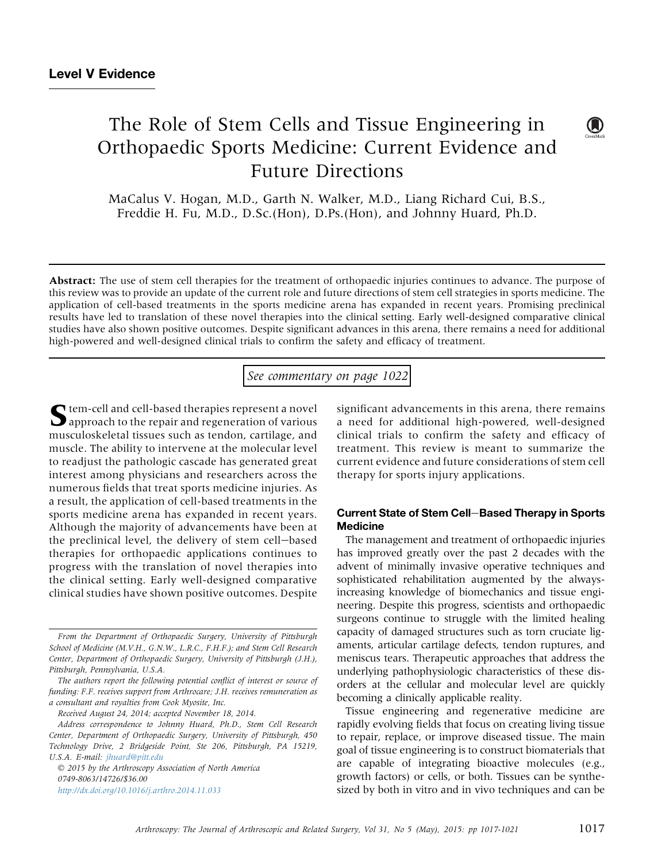# The Role of Stem Cells and Tissue Engineering in Orthopaedic Sports Medicine: Current Evidence and Future Directions

MaCalus V. Hogan, M.D., Garth N. Walker, M.D., Liang Richard Cui, B.S., Freddie H. Fu, M.D., D.Sc.(Hon), D.Ps.(Hon), and Johnny Huard, Ph.D.

Abstract: The use of stem cell therapies for the treatment of orthopaedic injuries continues to advance. The purpose of this review was to provide an update of the current role and future directions of stem cell strategies in sports medicine. The application of cell-based treatments in the sports medicine arena has expanded in recent years. Promising preclinical results have led to translation of these novel therapies into the clinical setting. Early well-designed comparative clinical studies have also shown positive outcomes. Despite significant advances in this arena, there remains a need for additional high-powered and well-designed clinical trials to confirm the safety and efficacy of treatment.

See commentary on page 1022

Stem-cell and cell-based therapies represent a novel approach to the repair and regeneration of various musculoskeletal tissues such as tendon, cartilage, and muscle. The ability to intervene at the molecular level to readjust the pathologic cascade has generated great interest among physicians and researchers across the numerous fields that treat sports medicine injuries. As a result, the application of cell-based treatments in the sports medicine arena has expanded in recent years. Although the majority of advancements have been at the preclinical level, the delivery of stem cell-based therapies for orthopaedic applications continues to progress with the translation of novel therapies into the clinical setting. Early well-designed comparative clinical studies have shown positive outcomes. Despite

Received August 24, 2014; accepted November 18, 2014.

 2015 by the Arthroscopy Association of North America 0749-8063/14726/\$36.00 <http://dx.doi.org/10.1016/j.arthro.2014.11.033>

significant advancements in this arena, there remains a need for additional high-powered, well-designed clinical trials to confirm the safety and efficacy of treatment. This review is meant to summarize the current evidence and future considerations of stem cell therapy for sports injury applications.

## Current State of Stem Cell-Based Therapy in Sports **Medicine**

The management and treatment of orthopaedic injuries has improved greatly over the past 2 decades with the advent of minimally invasive operative techniques and sophisticated rehabilitation augmented by the alwaysincreasing knowledge of biomechanics and tissue engineering. Despite this progress, scientists and orthopaedic surgeons continue to struggle with the limited healing capacity of damaged structures such as torn cruciate ligaments, articular cartilage defects, tendon ruptures, and meniscus tears. Therapeutic approaches that address the underlying pathophysiologic characteristics of these disorders at the cellular and molecular level are quickly becoming a clinically applicable reality.

Tissue engineering and regenerative medicine are rapidly evolving fields that focus on creating living tissue to repair, replace, or improve diseased tissue. The main goal of tissue engineering is to construct biomaterials that are capable of integrating bioactive molecules (e.g., growth factors) or cells, or both. Tissues can be synthesized by both in vitro and in vivo techniques and can be

From the Department of Orthopaedic Surgery, University of Pittsburgh School of Medicine (M.V.H., G.N.W., L.R.C., F.H.F.); and Stem Cell Research Center, Department of Orthopaedic Surgery, University of Pittsburgh (J.H.), Pittsburgh, Pennsylvania, U.S.A.

The authors report the following potential conflict of interest or source of funding: F.F. receives support from Arthrocare; J.H. receives remuneration as a consultant and royalties from Cook Myosite, Inc.

Address correspondence to Johnny Huard, Ph.D., Stem Cell Research Center, Department of Orthopaedic Surgery, University of Pittsburgh, 450 Technology Drive, 2 Bridgeside Point, Ste 206, Pittsburgh, PA 15219, U.S.A. E-mail: [jhuard@pitt.edu](mailto:jhuard@pitt.edu)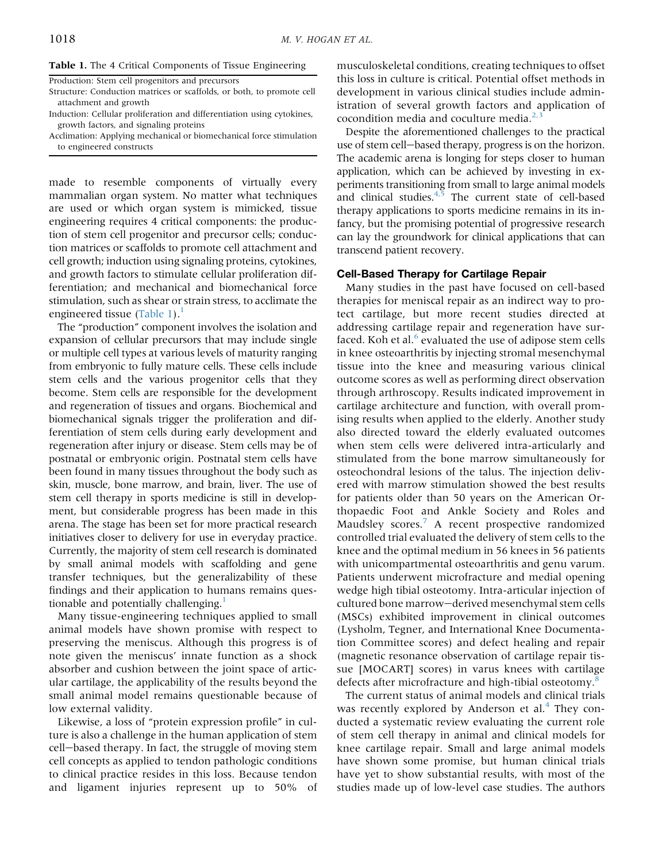#### Table 1. The 4 Critical Components of Tissue Engineering

Production: Stem cell progenitors and precursors

- Structure: Conduction matrices or scaffolds, or both, to promote cell attachment and growth
- Induction: Cellular proliferation and differentiation using cytokines, growth factors, and signaling proteins
- Acclimation: Applying mechanical or biomechanical force stimulation to engineered constructs

made to resemble components of virtually every mammalian organ system. No matter what techniques are used or which organ system is mimicked, tissue engineering requires 4 critical components: the production of stem cell progenitor and precursor cells; conduction matrices or scaffolds to promote cell attachment and cell growth; induction using signaling proteins, cytokines, and growth factors to stimulate cellular proliferation differentiation; and mechanical and biomechanical force stimulation, such as shear or strain stress, to acclimate the engineered tissue (Table 1).<sup>1</sup>

The "production" component involves the isolation and expansion of cellular precursors that may include single or multiple cell types at various levels of maturity ranging from embryonic to fully mature cells. These cells include stem cells and the various progenitor cells that they become. Stem cells are responsible for the development and regeneration of tissues and organs. Biochemical and biomechanical signals trigger the proliferation and differentiation of stem cells during early development and regeneration after injury or disease. Stem cells may be of postnatal or embryonic origin. Postnatal stem cells have been found in many tissues throughout the body such as skin, muscle, bone marrow, and brain, liver. The use of stem cell therapy in sports medicine is still in development, but considerable progress has been made in this arena. The stage has been set for more practical research initiatives closer to delivery for use in everyday practice. Currently, the majority of stem cell research is dominated by small animal models with scaffolding and gene transfer techniques, but the generalizability of these findings and their application to humans remains questionable and potentially challenging. $\frac{1}{1}$  $\frac{1}{1}$  $\frac{1}{1}$ 

Many tissue-engineering techniques applied to small animal models have shown promise with respect to preserving the meniscus. Although this progress is of note given the meniscus' innate function as a shock absorber and cushion between the joint space of articular cartilage, the applicability of the results beyond the small animal model remains questionable because of low external validity.

Likewise, a loss of "protein expression profile" in culture is also a challenge in the human application of stem cell-based therapy. In fact, the struggle of moving stem cell concepts as applied to tendon pathologic conditions to clinical practice resides in this loss. Because tendon and ligament injuries represent up to 50% of musculoskeletal conditions, creating techniques to offset this loss in culture is critical. Potential offset methods in development in various clinical studies include administration of several growth factors and application of cocondition media and coculture media. $^{2,3}$  $^{2,3}$  $^{2,3}$ 

Despite the aforementioned challenges to the practical use of stem cell-based therapy, progress is on the horizon. The academic arena is longing for steps closer to human application, which can be achieved by investing in experiments transitioning from small to large animal models and clinical studies. $4.5$  The current state of cell-based therapy applications to sports medicine remains in its infancy, but the promising potential of progressive research can lay the groundwork for clinical applications that can transcend patient recovery.

### Cell-Based Therapy for Cartilage Repair

Many studies in the past have focused on cell-based therapies for meniscal repair as an indirect way to protect cartilage, but more recent studies directed at addressing cartilage repair and regeneration have surfaced. Koh et al. $6$  evaluated the use of adipose stem cells in knee osteoarthritis by injecting stromal mesenchymal tissue into the knee and measuring various clinical outcome scores as well as performing direct observation through arthroscopy. Results indicated improvement in cartilage architecture and function, with overall promising results when applied to the elderly. Another study also directed toward the elderly evaluated outcomes when stem cells were delivered intra-articularly and stimulated from the bone marrow simultaneously for osteochondral lesions of the talus. The injection delivered with marrow stimulation showed the best results for patients older than 50 years on the American Orthopaedic Foot and Ankle Society and Roles and Maudsley scores.[7](#page-3-0) A recent prospective randomized controlled trial evaluated the delivery of stem cells to the knee and the optimal medium in 56 knees in 56 patients with unicompartmental osteoarthritis and genu varum. Patients underwent microfracture and medial opening wedge high tibial osteotomy. Intra-articular injection of cultured bone marrow-derived mesenchymal stem cells (MSCs) exhibited improvement in clinical outcomes (Lysholm, Tegner, and International Knee Documentation Committee scores) and defect healing and repair (magnetic resonance observation of cartilage repair tissue [MOCART] scores) in varus knees with cartilage defects after microfracture and high-tibial osteotomy.<sup>[8](#page-3-0)</sup>

The current status of animal models and clinical trials was recently explored by Anderson et al. $4$  They conducted a systematic review evaluating the current role of stem cell therapy in animal and clinical models for knee cartilage repair. Small and large animal models have shown some promise, but human clinical trials have yet to show substantial results, with most of the studies made up of low-level case studies. The authors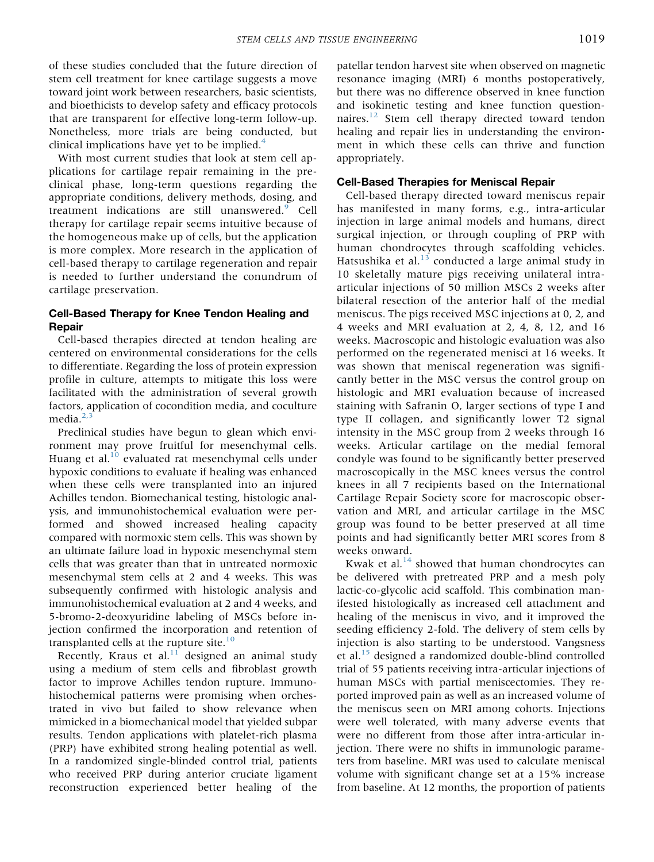of these studies concluded that the future direction of stem cell treatment for knee cartilage suggests a move toward joint work between researchers, basic scientists, and bioethicists to develop safety and efficacy protocols that are transparent for effective long-term follow-up. Nonetheless, more trials are being conducted, but clinical implications have yet to be implied. $4$ 

With most current studies that look at stem cell applications for cartilage repair remaining in the preclinical phase, long-term questions regarding the appropriate conditions, delivery methods, dosing, and treatment indications are still unanswered.<sup>[9](#page-3-0)</sup> Cell therapy for cartilage repair seems intuitive because of the homogeneous make up of cells, but the application is more complex. More research in the application of cell-based therapy to cartilage regeneration and repair is needed to further understand the conundrum of cartilage preservation.

## Cell-Based Therapy for Knee Tendon Healing and Repair

Cell-based therapies directed at tendon healing are centered on environmental considerations for the cells to differentiate. Regarding the loss of protein expression profile in culture, attempts to mitigate this loss were facilitated with the administration of several growth factors, application of cocondition media, and coculture media. $2,3$ 

Preclinical studies have begun to glean which environment may prove fruitful for mesenchymal cells. Huang et al.<sup>[10](#page-4-0)</sup> evaluated rat mesenchymal cells under hypoxic conditions to evaluate if healing was enhanced when these cells were transplanted into an injured Achilles tendon. Biomechanical testing, histologic analysis, and immunohistochemical evaluation were performed and showed increased healing capacity compared with normoxic stem cells. This was shown by an ultimate failure load in hypoxic mesenchymal stem cells that was greater than that in untreated normoxic mesenchymal stem cells at 2 and 4 weeks. This was subsequently confirmed with histologic analysis and immunohistochemical evaluation at 2 and 4 weeks, and 5-bromo-2-deoxyuridine labeling of MSCs before injection confirmed the incorporation and retention of transplanted cells at the rupture site. $10$ 

Recently, Kraus et al. $11$  designed an animal study using a medium of stem cells and fibroblast growth factor to improve Achilles tendon rupture. Immunohistochemical patterns were promising when orchestrated in vivo but failed to show relevance when mimicked in a biomechanical model that yielded subpar results. Tendon applications with platelet-rich plasma (PRP) have exhibited strong healing potential as well. In a randomized single-blinded control trial, patients who received PRP during anterior cruciate ligament reconstruction experienced better healing of the patellar tendon harvest site when observed on magnetic resonance imaging (MRI) 6 months postoperatively, but there was no difference observed in knee function and isokinetic testing and knee function questionnaires.<sup>12</sup> Stem cell therapy directed toward tendon healing and repair lies in understanding the environment in which these cells can thrive and function appropriately.

#### Cell-Based Therapies for Meniscal Repair

Cell-based therapy directed toward meniscus repair has manifested in many forms, e.g., intra-articular injection in large animal models and humans, direct surgical injection, or through coupling of PRP with human chondrocytes through scaffolding vehicles. Hatsushika et al. $^{13}$  $^{13}$  $^{13}$  conducted a large animal study in 10 skeletally mature pigs receiving unilateral intraarticular injections of 50 million MSCs 2 weeks after bilateral resection of the anterior half of the medial meniscus. The pigs received MSC injections at 0, 2, and 4 weeks and MRI evaluation at 2, 4, 8, 12, and 16 weeks. Macroscopic and histologic evaluation was also performed on the regenerated menisci at 16 weeks. It was shown that meniscal regeneration was significantly better in the MSC versus the control group on histologic and MRI evaluation because of increased staining with Safranin O, larger sections of type I and type II collagen, and significantly lower T2 signal intensity in the MSC group from 2 weeks through 16 weeks. Articular cartilage on the medial femoral condyle was found to be significantly better preserved macroscopically in the MSC knees versus the control knees in all 7 recipients based on the International Cartilage Repair Society score for macroscopic observation and MRI, and articular cartilage in the MSC group was found to be better preserved at all time points and had significantly better MRI scores from 8 weeks onward.

Kwak et al. $^{14}$  $^{14}$  $^{14}$  showed that human chondrocytes can be delivered with pretreated PRP and a mesh poly lactic-co-glycolic acid scaffold. This combination manifested histologically as increased cell attachment and healing of the meniscus in vivo, and it improved the seeding efficiency 2-fold. The delivery of stem cells by injection is also starting to be understood. Vangsness et al.[15](#page-4-0) designed a randomized double-blind controlled trial of 55 patients receiving intra-articular injections of human MSCs with partial meniscectomies. They reported improved pain as well as an increased volume of the meniscus seen on MRI among cohorts. Injections were well tolerated, with many adverse events that were no different from those after intra-articular injection. There were no shifts in immunologic parameters from baseline. MRI was used to calculate meniscal volume with significant change set at a 15% increase from baseline. At 12 months, the proportion of patients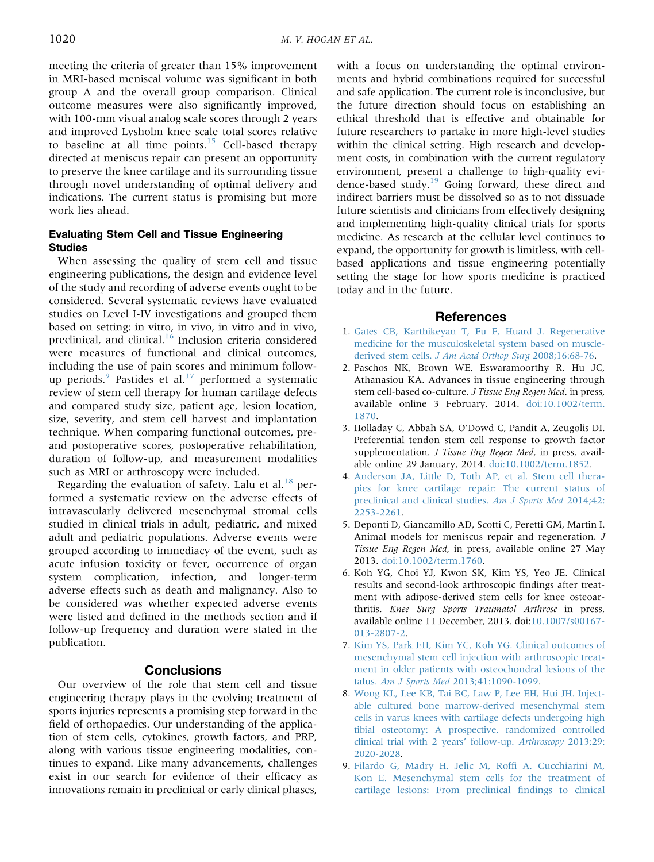<span id="page-3-0"></span>meeting the criteria of greater than 15% improvement in MRI-based meniscal volume was significant in both group A and the overall group comparison. Clinical outcome measures were also significantly improved, with 100-mm visual analog scale scores through 2 years and improved Lysholm knee scale total scores relative to baseline at all time points.<sup>[15](#page-4-0)</sup> Cell-based therapy directed at meniscus repair can present an opportunity to preserve the knee cartilage and its surrounding tissue through novel understanding of optimal delivery and indications. The current status is promising but more work lies ahead.

# Evaluating Stem Cell and Tissue Engineering Studies

When assessing the quality of stem cell and tissue engineering publications, the design and evidence level of the study and recording of adverse events ought to be considered. Several systematic reviews have evaluated studies on Level I-IV investigations and grouped them based on setting: in vitro, in vivo, in vitro and in vivo, preclinical, and clinical.<sup>[16](#page-4-0)</sup> Inclusion criteria considered were measures of functional and clinical outcomes, including the use of pain scores and minimum followup periods. $9$  Pastides et al.<sup>[17](#page-4-0)</sup> performed a systematic review of stem cell therapy for human cartilage defects and compared study size, patient age, lesion location, size, severity, and stem cell harvest and implantation technique. When comparing functional outcomes, preand postoperative scores, postoperative rehabilitation, duration of follow-up, and measurement modalities such as MRI or arthroscopy were included.

Regarding the evaluation of safety, Lalu et al. $^{18}$  $^{18}$  $^{18}$  performed a systematic review on the adverse effects of intravascularly delivered mesenchymal stromal cells studied in clinical trials in adult, pediatric, and mixed adult and pediatric populations. Adverse events were grouped according to immediacy of the event, such as acute infusion toxicity or fever, occurrence of organ system complication, infection, and longer-term adverse effects such as death and malignancy. Also to be considered was whether expected adverse events were listed and defined in the methods section and if follow-up frequency and duration were stated in the publication.

# **Conclusions**

Our overview of the role that stem cell and tissue engineering therapy plays in the evolving treatment of sports injuries represents a promising step forward in the field of orthopaedics. Our understanding of the application of stem cells, cytokines, growth factors, and PRP, along with various tissue engineering modalities, continues to expand. Like many advancements, challenges exist in our search for evidence of their efficacy as innovations remain in preclinical or early clinical phases,

with a focus on understanding the optimal environments and hybrid combinations required for successful and safe application. The current role is inconclusive, but the future direction should focus on establishing an ethical threshold that is effective and obtainable for future researchers to partake in more high-level studies within the clinical setting. High research and development costs, in combination with the current regulatory environment, present a challenge to high-quality evidence-based study. $19$  Going forward, these direct and indirect barriers must be dissolved so as to not dissuade future scientists and clinicians from effectively designing and implementing high-quality clinical trials for sports medicine. As research at the cellular level continues to expand, the opportunity for growth is limitless, with cellbased applications and tissue engineering potentially setting the stage for how sports medicine is practiced today and in the future.

## References

- 1. [Gates CB, Karthikeyan T, Fu F, Huard J. Regenerative](http://refhub.elsevier.com/S0749-8063(14)00957-8/sref1) [medicine for the musculoskeletal system based on muscle](http://refhub.elsevier.com/S0749-8063(14)00957-8/sref1)derived stem cells. [J Am Acad Orthop Surg](http://refhub.elsevier.com/S0749-8063(14)00957-8/sref1) 2008;16:68-76.
- 2. Paschos NK, Brown WE, Eswaramoorthy R, Hu JC, Athanasiou KA. Advances in tissue engineering through stem cell-based co-culture. J Tissue Eng Regen Med, in press, available online 3 February, 2014. [doi:10.1002/term.](http://dx.doi.org/10.1002/term.1870) [1870](http://dx.doi.org/10.1002/term.1870).
- 3. Holladay C, Abbah SA, O'Dowd C, Pandit A, Zeugolis DI. Preferential tendon stem cell response to growth factor supplementation. J Tissue Eng Regen Med, in press, available online 29 January, 2014. [doi:10.1002/term.1852](http://dx.doi.org/10.1002/term.1852).
- 4. [Anderson JA, Little D, Toth AP, et al. Stem cell thera](http://refhub.elsevier.com/S0749-8063(14)00957-8/sref2)[pies for knee cartilage repair: The current status of](http://refhub.elsevier.com/S0749-8063(14)00957-8/sref2) [preclinical and clinical studies.](http://refhub.elsevier.com/S0749-8063(14)00957-8/sref2) Am J Sports Med 2014;42: [2253-2261.](http://refhub.elsevier.com/S0749-8063(14)00957-8/sref2)
- 5. Deponti D, Giancamillo AD, Scotti C, Peretti GM, Martin I. Animal models for meniscus repair and regeneration. J Tissue Eng Regen Med, in press, available online 27 May 2013. [doi:10.1002/term.1760](http://dx.doi.org/10.1002/term.1760).
- 6. Koh YG, Choi YJ, Kwon SK, Kim YS, Yeo JE. Clinical results and second-look arthroscopic findings after treatment with adipose-derived stem cells for knee osteoarthritis. Knee Surg Sports Traumatol Arthrosc in press, available online 11 December, 2013. doi[:10.1007/s00167-](http://10.1007/s00167-013-2807-2) [013-2807-2](http://10.1007/s00167-013-2807-2).
- 7. [Kim YS, Park EH, Kim YC, Koh YG. Clinical outcomes of](http://refhub.elsevier.com/S0749-8063(14)00957-8/sref3) [mesenchymal stem cell injection with arthroscopic treat](http://refhub.elsevier.com/S0749-8063(14)00957-8/sref3)[ment in older patients with osteochondral lesions of the](http://refhub.elsevier.com/S0749-8063(14)00957-8/sref3) talus. Am J Sports Med [2013;41:1090-1099.](http://refhub.elsevier.com/S0749-8063(14)00957-8/sref3)
- 8. [Wong KL, Lee KB, Tai BC, Law P, Lee EH, Hui JH. Inject](http://refhub.elsevier.com/S0749-8063(14)00957-8/sref4)[able cultured bone marrow-derived mesenchymal stem](http://refhub.elsevier.com/S0749-8063(14)00957-8/sref4) [cells in varus knees with cartilage defects undergoing high](http://refhub.elsevier.com/S0749-8063(14)00957-8/sref4) [tibial osteotomy: A prospective, randomized controlled](http://refhub.elsevier.com/S0749-8063(14)00957-8/sref4) [clinical trial with 2 years](http://refhub.elsevier.com/S0749-8063(14)00957-8/sref4)' follow-up. Arthroscopy 2013;29: [2020-2028](http://refhub.elsevier.com/S0749-8063(14)00957-8/sref4).
- 9. [Filardo G, Madry H, Jelic M, Rof](http://refhub.elsevier.com/S0749-8063(14)00957-8/sref5)fi A, Cucchiarini M, [Kon E. Mesenchymal stem cells for the treatment of](http://refhub.elsevier.com/S0749-8063(14)00957-8/sref5) [cartilage lesions: From preclinical](http://refhub.elsevier.com/S0749-8063(14)00957-8/sref5) findings to clinical